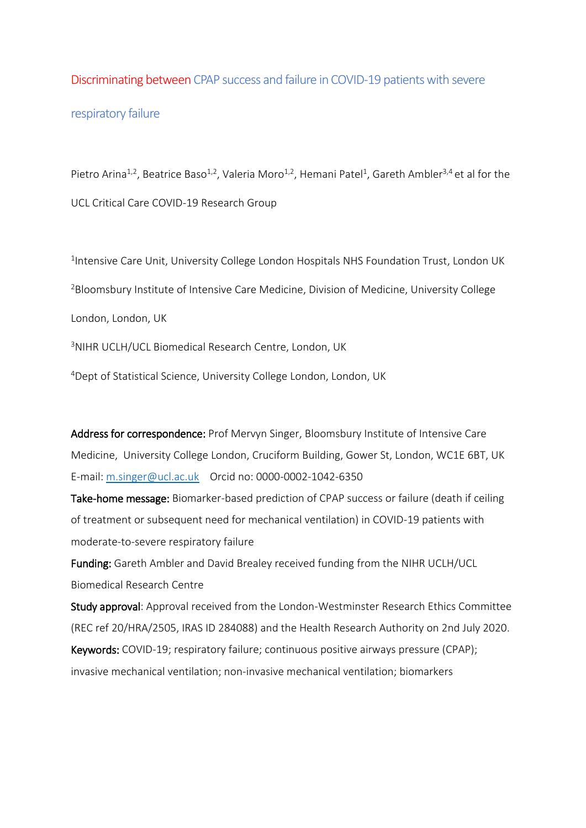# Discriminating between CPAP success and failure in COVID-19 patients with severe respiratory failure

Pietro Arina<sup>1,2</sup>, Beatrice Baso<sup>1,2</sup>, Valeria Moro<sup>1,2</sup>, Hemani Patel<sup>1</sup>, Gareth Ambler<sup>3,4</sup> et al for the UCL Critical Care COVID-19 Research Group

<sup>1</sup>Intensive Care Unit, University College London Hospitals NHS Foundation Trust, London UK <sup>2</sup>Bloomsbury Institute of Intensive Care Medicine, Division of Medicine, University College London, London, UK <sup>3</sup>NIHR UCLH/UCL Biomedical Research Centre, London, UK

<sup>4</sup>Dept of Statistical Science, University College London, London, UK

Address for correspondence: Prof Mervyn Singer, Bloomsbury Institute of Intensive Care Medicine, University College London, Cruciform Building, Gower St, London, WC1E 6BT, UK E-mail: [m.singer@ucl.ac.uk](about:blank) Orcid no: 0000-0002-1042-6350

Take-home message: Biomarker-based prediction of CPAP success or failure (death if ceiling of treatment or subsequent need for mechanical ventilation) in COVID-19 patients with moderate-to-severe respiratory failure

Funding: Gareth Ambler and David Brealey received funding from the NIHR UCLH/UCL Biomedical Research Centre

Study approval: Approval received from the London-Westminster Research Ethics Committee (REC ref 20/HRA/2505, IRAS ID 284088) and the Health Research Authority on 2nd July 2020.

Keywords: COVID-19; respiratory failure; continuous positive airways pressure (CPAP); invasive mechanical ventilation; non-invasive mechanical ventilation; biomarkers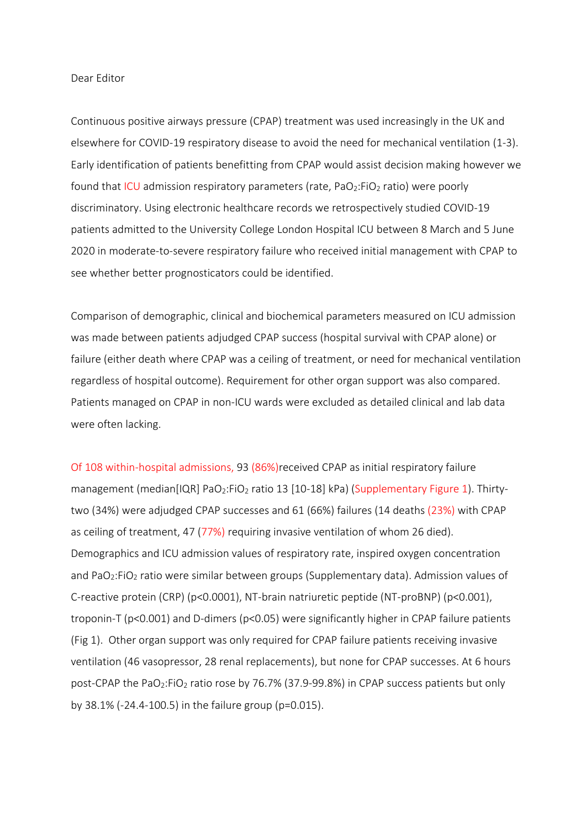#### Dear Editor

Continuous positive airways pressure (CPAP) treatment was used increasingly in the UK and elsewhere for COVID-19 respiratory disease to avoid the need for mechanical ventilation (1-3). Early identification of patients benefitting from CPAP would assist decision making however we found that ICU admission respiratory parameters (rate, PaO<sub>2</sub>:FiO<sub>2</sub> ratio) were poorly discriminatory. Using electronic healthcare records we retrospectively studied COVID-19 patients admitted to the University College London Hospital ICU between 8 March and 5 June 2020 in moderate-to-severe respiratory failure who received initial management with CPAP to see whether better prognosticators could be identified.

Comparison of demographic, clinical and biochemical parameters measured on ICU admission was made between patients adjudged CPAP success (hospital survival with CPAP alone) or failure (either death where CPAP was a ceiling of treatment, or need for mechanical ventilation regardless of hospital outcome). Requirement for other organ support was also compared. Patients managed on CPAP in non-ICU wards were excluded as detailed clinical and lab data were often lacking.

Of 108 within-hospital admissions, 93 (86%)received CPAP as initial respiratory failure management (median[IQR] PaO<sub>2</sub>:FiO<sub>2</sub> ratio 13 [10-18] kPa) (Supplementary Figure 1). Thirtytwo (34%) were adjudged CPAP successes and 61 (66%) failures (14 deaths (23%) with CPAP as ceiling of treatment, 47 (77%) requiring invasive ventilation of whom 26 died). Demographics and ICU admission values of respiratory rate, inspired oxygen concentration and PaO<sub>2</sub>:FiO<sub>2</sub> ratio were similar between groups (Supplementary data). Admission values of C-reactive protein (CRP) (p<0.0001), NT-brain natriuretic peptide (NT-proBNP) (p<0.001), troponin-T (p<0.001) and D-dimers (p<0.05) were significantly higher in CPAP failure patients (Fig 1). Other organ support was only required for CPAP failure patients receiving invasive ventilation (46 vasopressor, 28 renal replacements), but none for CPAP successes. At 6 hours post-CPAP the PaO<sub>2</sub>:FiO<sub>2</sub> ratio rose by 76.7% (37.9-99.8%) in CPAP success patients but only by 38.1% (-24.4-100.5) in the failure group (p=0.015).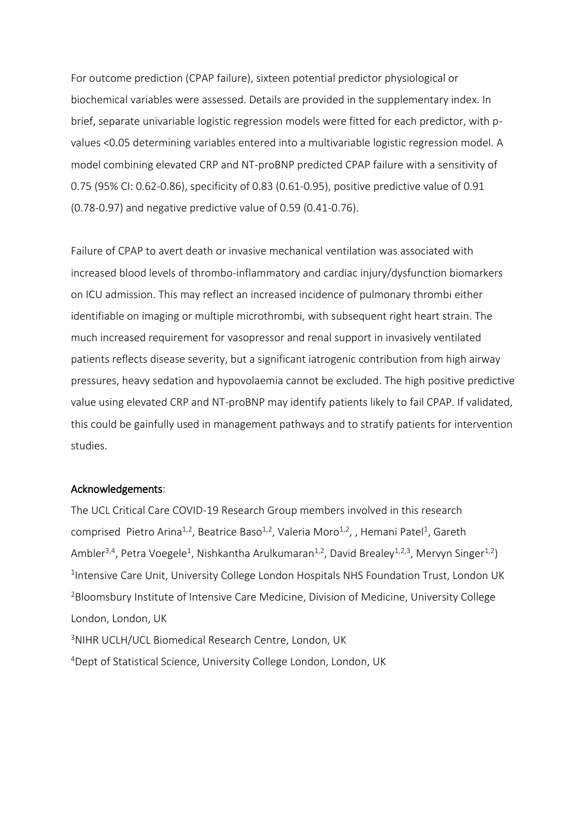For outcome prediction (CPAP failure), sixteen potential predictor physiological or biochemical variables were assessed. Details are provided in the supplementary index. In brief, separate univariable logistic regression models were fitted for each predictor, with pvalues <0.05 determining variables entered into a multivariable logistic regression model. A model combining elevated CRP and NT-proBNP predicted CPAP failure with a sensitivity of 0.75 (95% CI: 0.62-0.86), specificity of 0.83 (0.61-0.95), positive predictive value of 0.91 (0.78-0.97) and negative predictive value of 0.59 (0.41-0.76).

Failure of CPAP to avert death or invasive mechanical ventilation was associated with increased blood levels of thrombo-inflammatory and cardiac injury/dysfunction biomarkers on ICU admission. This may reflect an increased incidence of pulmonary thrombi either identifiable on imaging or multiple microthrombi, with subsequent right heart strain. The much increased requirement for vasopressor and renal support in invasively ventilated patients reflects disease severity, but a significant iatrogenic contribution from high airway pressures, heavy sedation and hypovolaemia cannot be excluded. The high positive predictive value using elevated CRP and NT-proBNP may identify patients likely to fail CPAP. If validated, this could be gainfully used in management pathways and to stratify patients for intervention studies.

### Acknowledgements:

The UCL Critical Care COVID-19 Research Group members involved in this research comprised Pietro Arina<sup>1,2</sup>, Beatrice Baso<sup>1,2</sup>, Valeria Moro<sup>1,2</sup>, , Hemani Patel<sup>1</sup>, Gareth Ambler<sup>3,4</sup>, Petra Voegele<sup>1</sup>, Nishkantha Arulkumaran<sup>1,2</sup>, David Brealey<sup>1,2,3</sup>, Mervyn Singer<sup>1,2</sup>) <sup>1</sup>Intensive Care Unit, University College London Hospitals NHS Foundation Trust, London UK <sup>2</sup>Bloomsbury Institute of Intensive Care Medicine, Division of Medicine, University College London, London, UK

<sup>3</sup>NIHR UCLH/UCL Biomedical Research Centre, London, UK <sup>4</sup>Dept of Statistical Science, University College London, London, UK